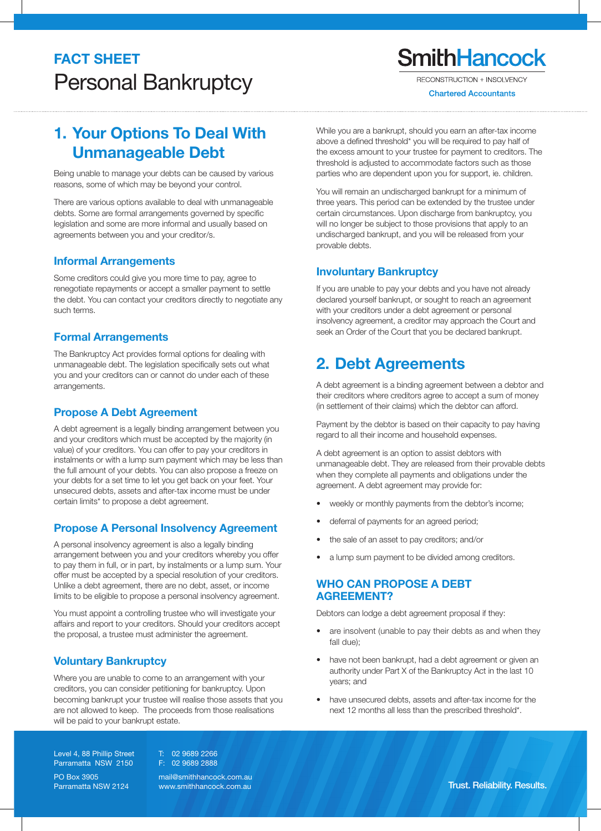# **FACT SHEET** Personal Bankruptcy

**SmithHancock** 

**RECONSTRUCTION + INSOLVENCY** 

**Chartered Accountants** 

## 1. Your Options To Deal With Unmanageable Debt

Being unable to manage your debts can be caused by various reasons, some of which may be beyond your control.

There are various options available to deal with unmanageable debts. Some are formal arrangements governed by specific legislation and some are more informal and usually based on agreements between you and your creditor/s.

## Informal Arrangements

Some creditors could give you more time to pay, agree to renegotiate repayments or accept a smaller payment to settle the debt. You can contact your creditors directly to negotiate any such terms.

## Formal Arrangements

The Bankruptcy Act provides formal options for dealing with unmanageable debt. The legislation specifically sets out what you and your creditors can or cannot do under each of these arrangements.

## Propose A Debt Agreement

A debt agreement is a legally binding arrangement between you and your creditors which must be accepted by the majority (in value) of your creditors. You can offer to pay your creditors in instalments or with a lump sum payment which may be less than the full amount of your debts. You can also propose a freeze on your debts for a set time to let you get back on your feet. Your unsecured debts, assets and after-tax income must be under certain limits\* to propose a debt agreement.

## Propose A Personal Insolvency Agreement

A personal insolvency agreement is also a legally binding arrangement between you and your creditors whereby you offer to pay them in full, or in part, by instalments or a lump sum. Your offer must be accepted by a special resolution of your creditors. Unlike a debt agreement, there are no debt, asset, or income limits to be eligible to propose a personal insolvency agreement.

You must appoint a controlling trustee who will investigate your affairs and report to your creditors. Should your creditors accept the proposal, a trustee must administer the agreement.

## Voluntary Bankruptcy

Where you are unable to come to an arrangement with your creditors, you can consider petitioning for bankruptcy. Upon becoming bankrupt your trustee will realise those assets that you are not allowed to keep. The proceeds from those realisations will be paid to your bankrupt estate.

Level 4, 88 Phillip Street Parramatta NSW 2150

PO Box 3905 Parramatta NSW 2124 T: 02 9689 2266 F: 02 9689 2888

mail@smithhancock.com.au<br>www.smithhancock.com.au

While you are a bankrupt, should you earn an after-tax income above a defined threshold\* you will be required to pay half of the excess amount to your trustee for payment to creditors. The threshold is adjusted to accommodate factors such as those parties who are dependent upon you for support, ie. children.

You will remain an undischarged bankrupt for a minimum of three years. This period can be extended by the trustee under certain circumstances. Upon discharge from bankruptcy, you will no longer be subject to those provisions that apply to an undischarged bankrupt, and you will be released from your provable debts.

## Involuntary Bankruptcy

If you are unable to pay your debts and you have not already declared yourself bankrupt, or sought to reach an agreement with your creditors under a debt agreement or personal insolvency agreement, a creditor may approach the Court and seek an Order of the Court that you be declared bankrupt.

## 2. Debt Agreements

A debt agreement is a binding agreement between a debtor and their creditors where creditors agree to accept a sum of money (in settlement of their claims) which the debtor can afford.

Payment by the debtor is based on their capacity to pay having regard to all their income and household expenses.

A debt agreement is an option to assist debtors with unmanageable debt. They are released from their provable debts when they complete all payments and obligations under the agreement. A debt agreement may provide for:

- weekly or monthly payments from the debtor's income;
- deferral of payments for an agreed period;
- the sale of an asset to pay creditors; and/or
- a lump sum payment to be divided among creditors.

## WHO CAN PROPOSE A DEBT AGREEMENT?

Debtors can lodge a debt agreement proposal if they:

- are insolvent (unable to pay their debts as and when they fall due);
- have not been bankrupt, had a debt agreement or given an authority under Part X of the Bankruptcy Act in the last 10 years; and
- have unsecured debts, assets and after-tax income for the next 12 months all less than the prescribed threshold\*.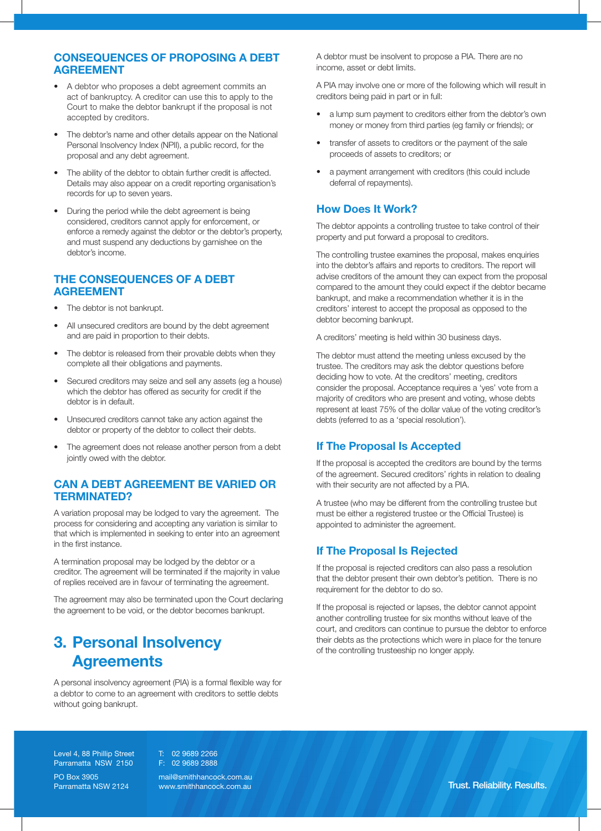## CONSEQUENCES OF PROPOSING A DEBT AGREEMENT

- A debtor who proposes a debt agreement commits an act of bankruptcy. A creditor can use this to apply to the Court to make the debtor bankrupt if the proposal is not accepted by creditors.
- The debtor's name and other details appear on the National Personal Insolvency Index (NPII), a public record, for the proposal and any debt agreement.
- The ability of the debtor to obtain further credit is affected. Details may also appear on a credit reporting organisation's records for up to seven years.
- During the period while the debt agreement is being considered, creditors cannot apply for enforcement, or enforce a remedy against the debtor or the debtor's property, and must suspend any deductions by garnishee on the debtor's income.

#### THE CONSEQUENCES OF A DEBT AGREEMENT

- The debtor is not bankrupt.
- All unsecured creditors are bound by the debt agreement and are paid in proportion to their debts.
- The debtor is released from their provable debts when they complete all their obligations and payments.
- Secured creditors may seize and sell any assets (eg a house) which the debtor has offered as security for credit if the debtor is in default.
- Unsecured creditors cannot take any action against the debtor or property of the debtor to collect their debts.
- The agreement does not release another person from a debt jointly owed with the debtor.

## CAN A DEBT AGREEMENT BE VARIED OR TERMINATED?

A variation proposal may be lodged to vary the agreement. The process for considering and accepting any variation is similar to that which is implemented in seeking to enter into an agreement in the first instance.

A termination proposal may be lodged by the debtor or a creditor. The agreement will be terminated if the majority in value of replies received are in favour of terminating the agreement.

The agreement may also be terminated upon the Court declaring the agreement to be void, or the debtor becomes bankrupt.

## 3. Personal Insolvency **Agreements**

A personal insolvency agreement (PIA) is a formal flexible way for a debtor to come to an agreement with creditors to settle debts without going bankrupt.

A debtor must be insolvent to propose a PIA. There are no income, asset or debt limits.

A PIA may involve one or more of the following which will result in creditors being paid in part or in full:

- a lump sum payment to creditors either from the debtor's own money or money from third parties (eg family or friends); or
- transfer of assets to creditors or the payment of the sale proceeds of assets to creditors; or
- a payment arrangement with creditors (this could include deferral of repayments).

## How Does It Work?

The debtor appoints a controlling trustee to take control of their property and put forward a proposal to creditors.

The controlling trustee examines the proposal, makes enquiries into the debtor's affairs and reports to creditors. The report will advise creditors of the amount they can expect from the proposal compared to the amount they could expect if the debtor became bankrupt, and make a recommendation whether it is in the creditors' interest to accept the proposal as opposed to the debtor becoming bankrupt.

A creditors' meeting is held within 30 business days.

The debtor must attend the meeting unless excused by the trustee. The creditors may ask the debtor questions before deciding how to vote. At the creditors' meeting, creditors consider the proposal. Acceptance requires a 'yes' vote from a majority of creditors who are present and voting, whose debts represent at least 75% of the dollar value of the voting creditor's debts (referred to as a 'special resolution').

## If The Proposal Is Accepted

If the proposal is accepted the creditors are bound by the terms of the agreement. Secured creditors' rights in relation to dealing with their security are not affected by a PIA.

A trustee (who may be different from the controlling trustee but must be either a registered trustee or the Official Trustee) is appointed to administer the agreement.

## If The Proposal Is Rejected

If the proposal is rejected creditors can also pass a resolution that the debtor present their own debtor's petition. There is no requirement for the debtor to do so.

If the proposal is rejected or lapses, the debtor cannot appoint another controlling trustee for six months without leave of the court, and creditors can continue to pursue the debtor to enforce their debts as the protections which were in place for the tenure of the controlling trusteeship no longer apply.

Level 4, 88 Phillip Street Parramatta NSW 2150

PO Box 3905

Parramatta NSW 2124 F: 02 9689 2888

mail@smithhancock.com.au<br>www.smithhancock.com.au

T: 02 9689 2266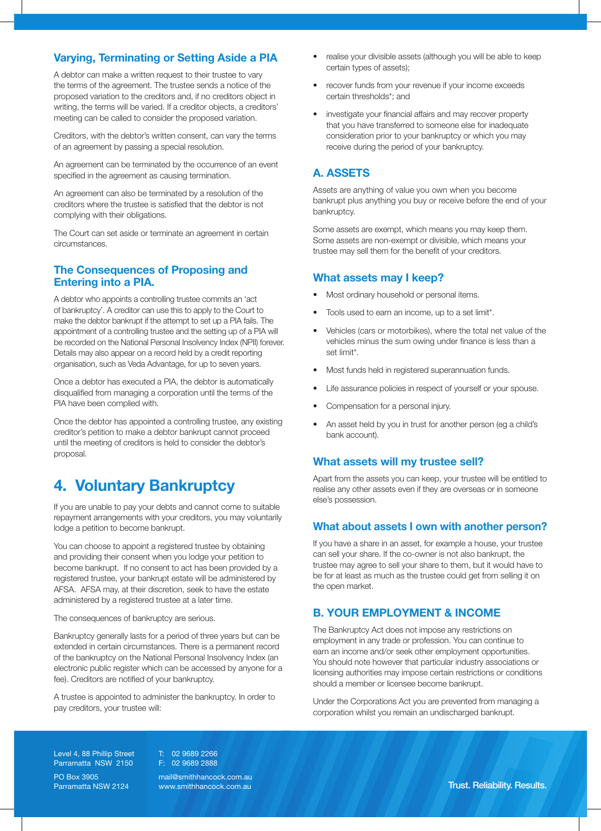## Varying, Terminating or Setting Aside a PIA

A debtor can make a written request to their trustee to vary the terms of the agreement. The trustee sends a notice of the proposed variation to the creditors and, if no creditors object in writing, the terms will be varied. If a creditor objects, a creditors' meeting can be called to consider the proposed variation.

Creditors, with the debtor's written consent, can vary the terms of an agreement by passing a special resolution.

An agreement can be terminated by the occurrence of an event specified in the agreement as causing termination.

An agreement can also be terminated by a resolution of the creditors where the trustee is satisfied that the debtor is not complying with their obligations.

The Court can set aside or terminate an agreement in certain circumstances.

#### The Consequences of Proposing and Entering into a PIA.

A debtor who appoints a controlling trustee commits an 'act of bankruptcy'. A creditor can use this to apply to the Court to make the debtor bankrupt if the attempt to set up a PIA fails. The appointment of a controlling trustee and the setting up of a PIA will be recorded on the National Personal Insolvency Index (NPII) forever. Details may also appear on a record held by a credit reporting organisation, such as Veda Advantage, for up to seven years.

Once a debtor has executed a PIA, the debtor is automatically disqualified from managing a corporation until the terms of the PIA have been complied with.

Once the debtor has appointed a controlling trustee, any existing creditor's petition to make a debtor bankrupt cannot proceed until the meeting of creditors is held to consider the debtor's proposal.

## 4. Voluntary Bankruptcy

If you are unable to pay your debts and cannot come to suitable repayment arrangements with your creditors, you may voluntarily lodge a petition to become bankrupt.

You can choose to appoint a registered trustee by obtaining and providing their consent when you lodge your petition to become bankrupt. If no consent to act has been provided by a registered trustee, your bankrupt estate will be administered by AFSA. AFSA may, at their discretion, seek to have the estate administered by a registered trustee at a later time.

The consequences of bankruptcy are serious.

Bankruptcy generally lasts for a period of three years but can be extended in certain circumstances. There is a permanent record of the bankruptcy on the National Personal Insolvency Index (an electronic public register which can be accessed by anyone for a fee). Creditors are notified of your bankruptcy.

A trustee is appointed to administer the bankruptcy. In order to pay creditors, your trustee will:

- realise your divisible assets (although you will be able to keep certain types of assets);
- recover funds from your revenue if your income exceeds certain thresholds\*; and
- investigate your financial affairs and may recover property that you have transferred to someone else for inadequate consideration prior to your bankruptcy or which you may receive during the period of your bankruptcy.

## A. ASSETS

Assets are anything of value you own when you become bankrupt plus anything you buy or receive before the end of your bankruptcy.

Some assets are exempt, which means you may keep them. Some assets are non-exempt or divisible, which means your trustee may sell them for the benefit of your creditors.

## What assets may I keep?

- Most ordinary household or personal items.
- Tools used to earn an income, up to a set limit\*.
- Vehicles (cars or motorbikes), where the total net value of the vehicles minus the sum owing under finance is less than a set limit\*.
- Most funds held in registered superannuation funds.
- Life assurance policies in respect of yourself or your spouse.
- Compensation for a personal injury.
- An asset held by you in trust for another person (eg a child's bank account).

## What assets will my trustee sell?

Apart from the assets you can keep, your trustee will be entitled to realise any other assets even if they are overseas or in someone else's possession.

## What about assets I own with another person?

If you have a share in an asset, for example a house, your trustee can sell your share. If the co-owner is not also bankrupt, the trustee may agree to sell your share to them, but it would have to be for at least as much as the trustee could get from selling it on the open market.

## B. YOUR EMPLOYMENT & INCOME

The Bankruptcy Act does not impose any restrictions on employment in any trade or profession. You can continue to earn an income and/or seek other employment opportunities. You should note however that particular industry associations or licensing authorities may impose certain restrictions or conditions should a member or licensee become bankrupt.

Under the Corporations Act you are prevented from managing a corporation whilst you remain an undischarged bankrupt.

Level 4, 88 Phillip Street Parramatta NSW 2150

PO Box 3905 Parramatta NSW 2124 T: 02 9689 2266 F: 02 9689 2888

mail@smithhancock.com.au<br>www.smithhancock.com.au